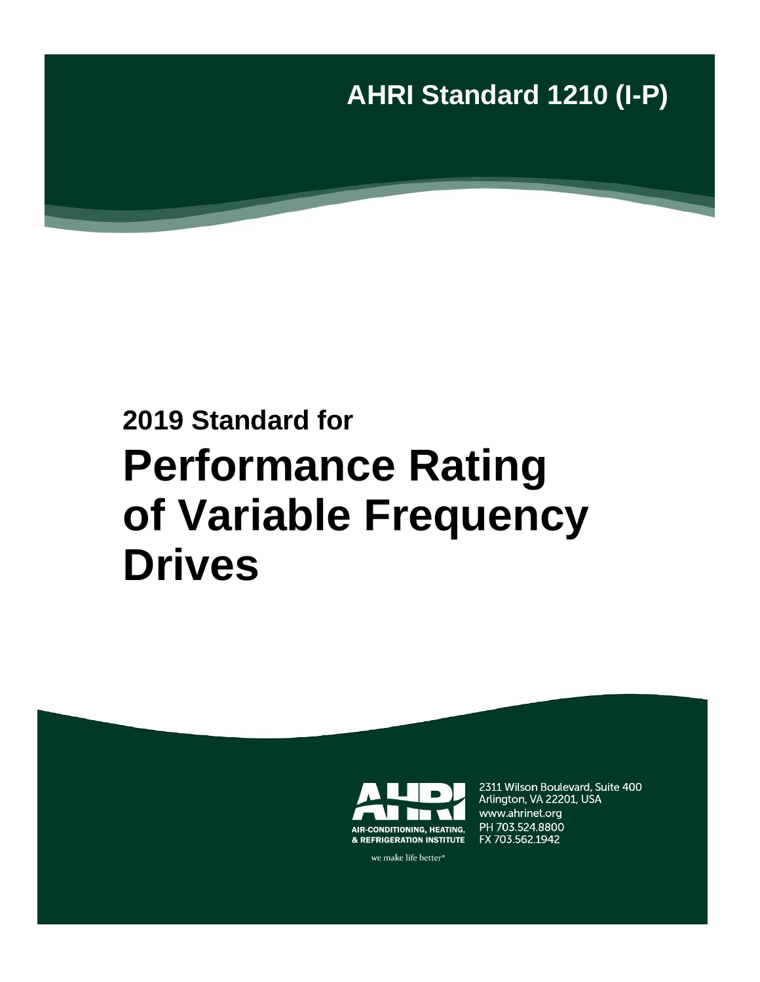**AHRI Standard 1210 (I-P)**

# **2019 Standard for Performance Rating of Variable Frequency Drives**



we make life better<sup>®</sup>

2311 Wilson Boulevard, Suite 400 Arlington, VA 22201, USA www.ahrinet.org PH 703.524.8800 FX 703.562.1942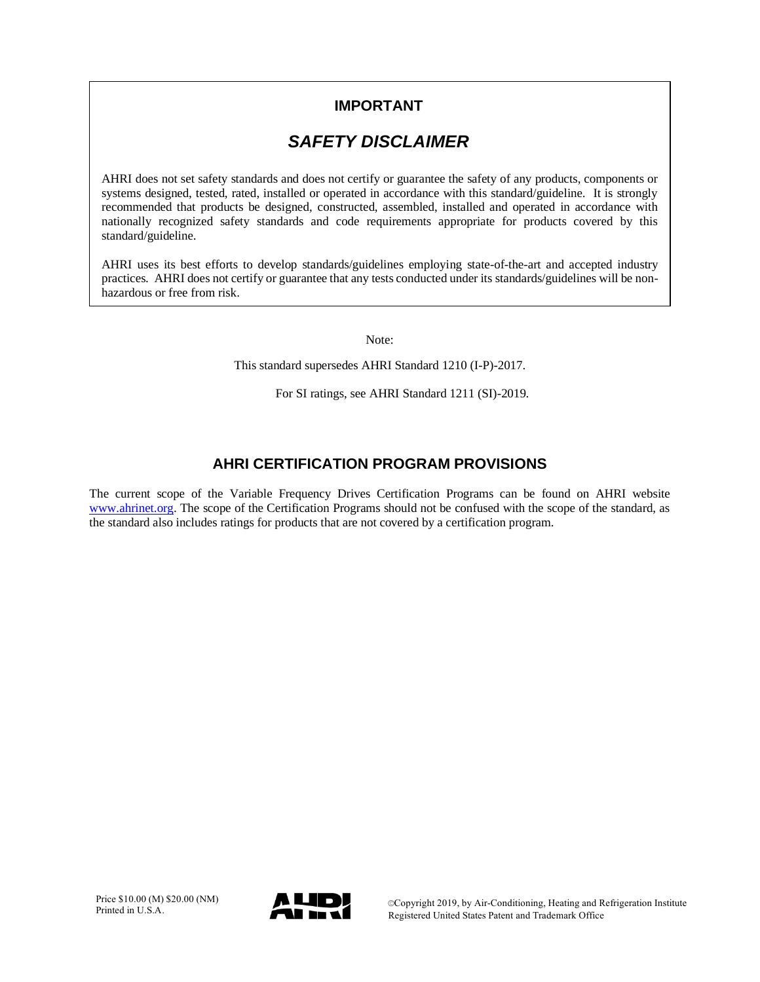## **IMPORTANT**

## *SAFETY DISCLAIMER*

AHRI does not set safety standards and does not certify or guarantee the safety of any products, components or systems designed, tested, rated, installed or operated in accordance with this standard/guideline. It is strongly recommended that products be designed, constructed, assembled, installed and operated in accordance with nationally recognized safety standards and code requirements appropriate for products covered by this standard/guideline.

AHRI uses its best efforts to develop standards/guidelines employing state-of-the-art and accepted industry practices. AHRI does not certify or guarantee that any tests conducted under its standards/guidelines will be nonhazardous or free from risk.

Note:

This standard supersedes AHRI Standard 1210 (I-P)-2017.

For SI ratings, see AHRI Standard 1211 (SI)-2019.

### **AHRI CERTIFICATION PROGRAM PROVISIONS**

The current scope of the Variable Frequency Drives Certification Programs can be found on AHRI website [www.ahrinet.org.](http://www.ahrinet.org/) The scope of the Certification Programs should not be confused with the scope of the standard, as the standard also includes ratings for products that are not covered by a certification program.

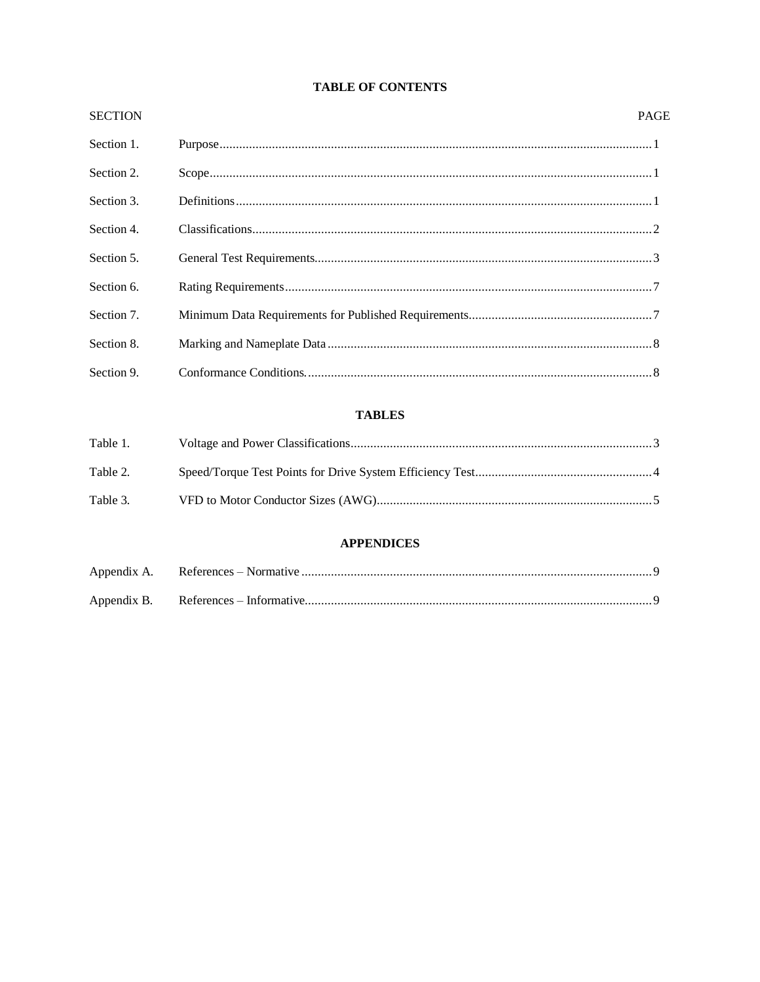#### **TABLE OF CONTENTS**

| <b>SECTION</b> | <b>PAGE</b> |  |
|----------------|-------------|--|
| Section 1.     |             |  |
| Section 2.     |             |  |
| Section 3.     |             |  |
| Section 4.     |             |  |
| Section 5.     |             |  |
| Section 6.     |             |  |
| Section 7.     |             |  |
| Section 8.     |             |  |
| Section 9.     |             |  |

#### **TABLES**

| Table 1. |  |
|----------|--|
|          |  |
| Table 2. |  |
|          |  |
| Table 3. |  |

#### **APPENDICES**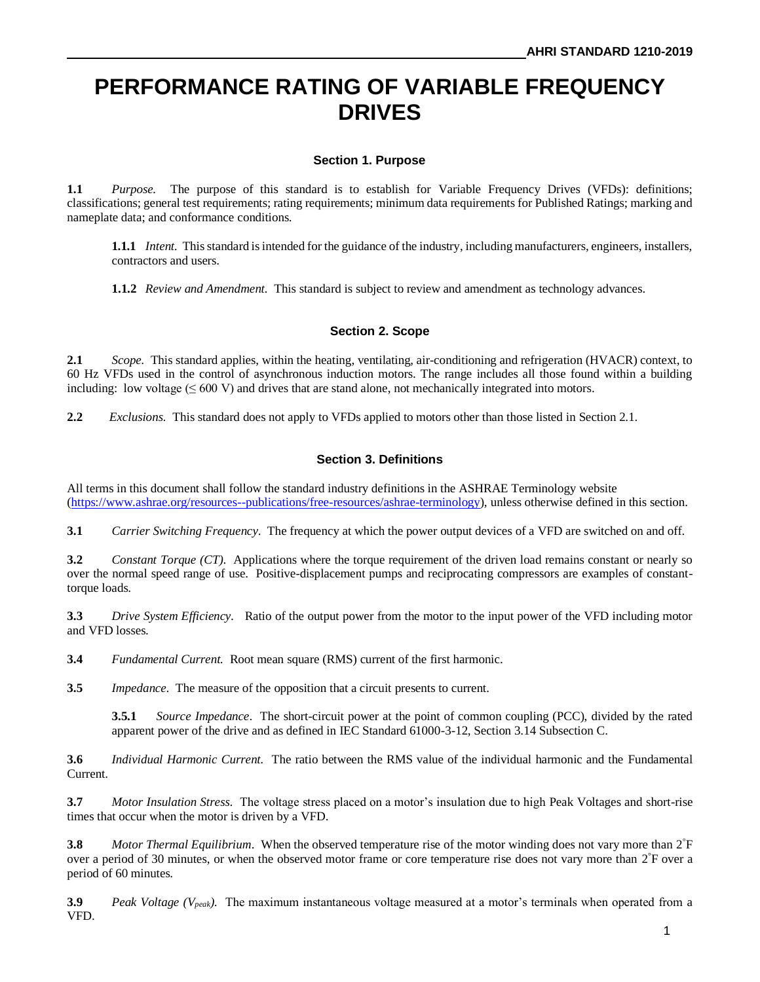# **PERFORMANCE RATING OF VARIABLE FREQUENCY DRIVES**

#### **Section 1. Purpose**

**1.1** *Purpose.* The purpose of this standard is to establish for Variable Frequency Drives (VFDs): definitions; classifications; general test requirements; rating requirements; minimum data requirements for Published Ratings; marking and nameplate data; and conformance conditions.

**1.1.1** *Intent.* This standard is intended for the guidance of the industry, including manufacturers, engineers, installers, contractors and users.

**1.1.2** *Review and Amendment.* This standard is subject to review and amendment as technology advances.

#### **Section 2. Scope**

**2.1** *Scope.* This standard applies, within the heating, ventilating, air-conditioning and refrigeration (HVACR) context, to 60 Hz VFDs used in the control of asynchronous induction motors. The range includes all those found within a building including: low voltage  $(\leq 600 \text{ V})$  and drives that are stand alone, not mechanically integrated into motors.

**2.2** *Exclusions.* This standard does not apply to VFDs applied to motors other than those listed in Section 2.1.

#### **Section 3. Definitions**

All terms in this document shall follow the standard industry definitions in the ASHRAE Terminology website [\(https://www.ashrae.org/resources--publications/free-resources/ashrae-terminology\)](https://www.ashrae.org/resources--publications/free-resources/ashrae-terminology), unless otherwise defined in this section.

**3.1** *Carrier Switching Frequency*. The frequency at which the power output devices of a VFD are switched on and off.

**3.2** *Constant Torque (CT)*. Applications where the torque requirement of the driven load remains constant or nearly so over the normal speed range of use. Positive-displacement pumps and reciprocating compressors are examples of constanttorque loads.

**3.3** *Drive System Efficiency.* Ratio of the output power from the motor to the input power of the VFD including motor and VFD losses.

**3.4** *Fundamental Current.* Root mean square (RMS) current of the first harmonic.

**3.5** *Impedance*.The measure of the opposition that a circuit presents to current.

**3.5.1** *Source Impedance*.The short-circuit power at the point of common coupling (PCC), divided by the rated apparent power of the drive and as defined in IEC Standard 61000-3-12, Section 3.14 Subsection C.

**3.6** *Individual Harmonic Current.* The ratio between the RMS value of the individual harmonic and the Fundamental Current.

**3.7** *Motor Insulation Stress*.The voltage stress placed on a motor's insulation due to high Peak Voltages and short-rise times that occur when the motor is driven by a VFD.

**3.8** *Motor Thermal Equilibrium*. When the observed temperature rise of the motor winding does not vary more than 2<sup>°</sup>F over a period of 30 minutes, or when the observed motor frame or core temperature rise does not vary more than  $2^{\degree}$ F over a period of 60 minutes.

**3.9** *Peak Voltage (Vpeak)*. The maximum instantaneous voltage measured at a motor's terminals when operated from a VFD.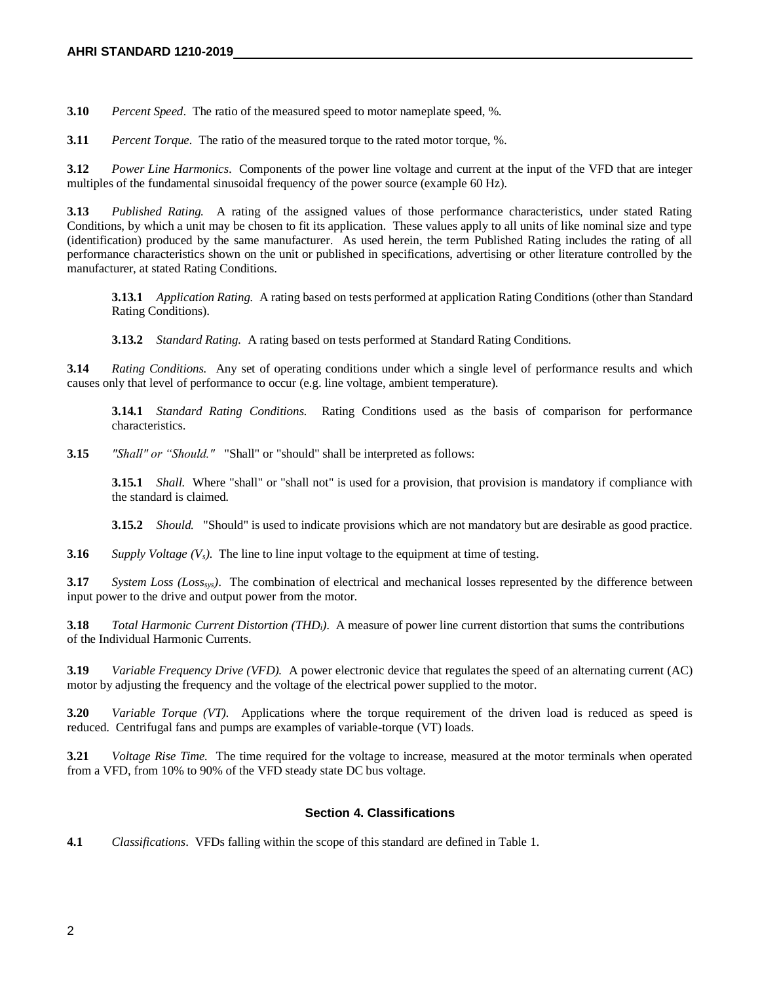**3.10** *Percent Speed*. The ratio of the measured speed to motor nameplate speed, %.

**3.11** *Percent Torque.* The ratio of the measured torque to the rated motor torque, %.

**3.12** *Power Line Harmonics*. Components of the power line voltage and current at the input of the VFD that are integer multiples of the fundamental sinusoidal frequency of the power source (example 60 Hz).

**3.13** *Published Rating.* A rating of the assigned values of those performance characteristics, under stated Rating Conditions, by which a unit may be chosen to fit its application. These values apply to all units of like nominal size and type (identification) produced by the same manufacturer. As used herein, the term Published Rating includes the rating of all performance characteristics shown on the unit or published in specifications, advertising or other literature controlled by the manufacturer, at stated Rating Conditions.

**3.13.1** *Application Rating.* A rating based on tests performed at application Rating Conditions (other than Standard Rating Conditions).

**3.13.2** *Standard Rating.* A rating based on tests performed at Standard Rating Conditions.

**3.14** *Rating Conditions.* Any set of operating conditions under which a single level of performance results and which causes only that level of performance to occur (e.g. line voltage, ambient temperature).

**3.14.1** *Standard Rating Conditions.* Rating Conditions used as the basis of comparison for performance characteristics.

**3.15** *"Shall" or "Should."* "Shall" or "should" shall be interpreted as follows:

**3.15.1** *Shall.* Where "shall" or "shall not" is used for a provision, that provision is mandatory if compliance with the standard is claimed.

**3.15.2** *Should.* "Should" is used to indicate provisions which are not mandatory but are desirable as good practice.

**3.16** *Supply Voltage (Vs)*. The line to line input voltage to the equipment at time of testing.

**3.17** *System Loss (Losssys)*. The combination of electrical and mechanical losses represented by the difference between input power to the drive and output power from the motor.

**3.18** *Total Harmonic Current Distortion (THDi)*. A measure of power line current distortion that sums the contributions of the Individual Harmonic Currents.

**3.19** *Variable Frequency Drive (VFD).* A power electronic device that regulates the speed of an alternating current (AC) motor by adjusting the frequency and the voltage of the electrical power supplied to the motor.

**3.20** *Variable Torque (VT)*. Applications where the torque requirement of the driven load is reduced as speed is reduced. Centrifugal fans and pumps are examples of variable-torque (VT) loads.

**3.21** *Voltage Rise Time.* The time required for the voltage to increase, measured at the motor terminals when operated from a VFD, from 10% to 90% of the VFD steady state DC bus voltage.

#### **Section 4. Classifications**

**4.1** *Classifications*. VFDs falling within the scope of this standard are defined in Table 1.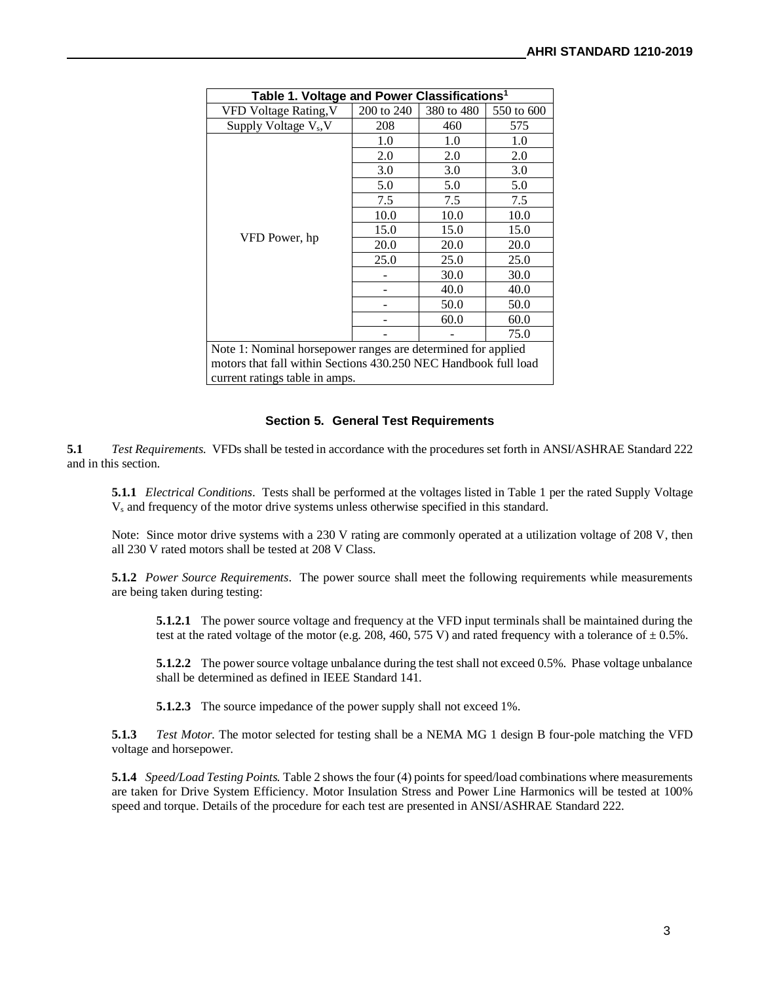| Table 1. Voltage and Power Classifications <sup>1</sup>         |            |            |            |
|-----------------------------------------------------------------|------------|------------|------------|
| VFD Voltage Rating, V                                           | 200 to 240 | 380 to 480 | 550 to 600 |
| Supply Voltage V <sub>s</sub> , V                               | 208        | 460        | 575        |
|                                                                 | 1.0        | 1.0        | 1.0        |
|                                                                 | 2.0        | 2.0        | 2.0        |
|                                                                 | 3.0        | 3.0        | 3.0        |
|                                                                 | 5.0        | 5.0        | 5.0        |
|                                                                 | 7.5        | 7.5        | 7.5        |
|                                                                 | 10.0       | 10.0       | 10.0       |
|                                                                 | 15.0       | 15.0       | 15.0       |
| VFD Power, hp                                                   | 20.0       | 20.0       | 20.0       |
|                                                                 | 25.0       | 25.0       | 25.0       |
|                                                                 | 30.0       | 30.0       |            |
|                                                                 |            | 40.0       | 40.0       |
|                                                                 |            | 50.0       | 50.0       |
|                                                                 |            | 60.0       | 60.0       |
|                                                                 |            |            | 75.0       |
| Note 1: Nominal horsepower ranges are determined for applied    |            |            |            |
| motors that fall within Sections 430.250 NEC Handbook full load |            |            |            |

current ratings table in amps.

#### **Section 5. General Test Requirements**

**5.1** *Test Requirements.* VFDs shall be tested in accordance with the procedures set forth in ANSI/ASHRAE Standard 222 and in this section.

**5.1.1** *Electrical Conditions*. Tests shall be performed at the voltages listed in Table 1 per the rated Supply Voltage V<sup>s</sup> and frequency of the motor drive systems unless otherwise specified in this standard.

Note: Since motor drive systems with a 230 V rating are commonly operated at a utilization voltage of 208 V, then all 230 V rated motors shall be tested at 208 V Class.

**5.1.2** *Power Source Requirements*.The power source shall meet the following requirements while measurements are being taken during testing:

**5.1.2.1** The power source voltage and frequency at the VFD input terminals shall be maintained during the test at the rated voltage of the motor (e.g. 208, 460, 575 V) and rated frequency with a tolerance of  $\pm$  0.5%.

**5.1.2.2** The power source voltage unbalance during the test shall not exceed 0.5%. Phase voltage unbalance shall be determined as defined in IEEE Standard 141.

**5.1.2.3** The source impedance of the power supply shall not exceed 1%.

**5.1.3** *Test Motor.* The motor selected for testing shall be a NEMA MG 1 design B four-pole matching the VFD voltage and horsepower.

**5.1.4** *Speed/Load Testing Points.* Table 2 shows the four (4) points for speed/load combinations where measurements are taken for Drive System Efficiency. Motor Insulation Stress and Power Line Harmonics will be tested at 100% speed and torque. Details of the procedure for each test are presented in ANSI/ASHRAE Standard 222.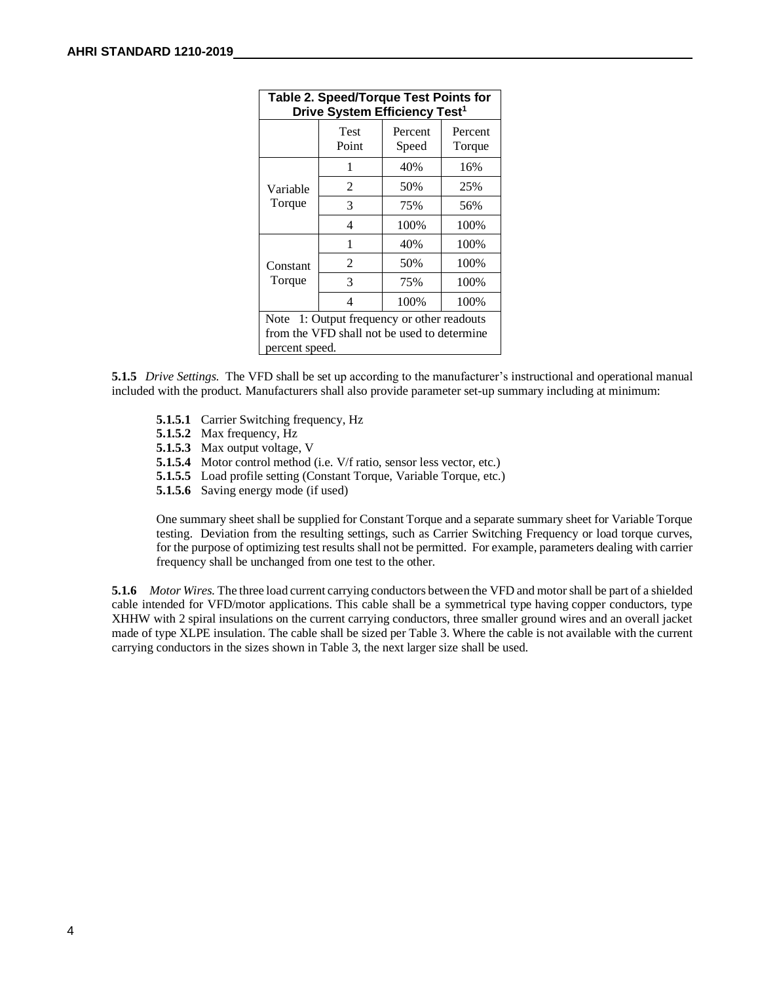| <b>Table 2. Speed/Torque Test Points for</b><br>Drive System Efficiency Test <sup>1</sup>                      |               |                  |                   |
|----------------------------------------------------------------------------------------------------------------|---------------|------------------|-------------------|
|                                                                                                                | Test<br>Point | Percent<br>Speed | Percent<br>Torque |
|                                                                                                                | 1             | 40%              | 16%               |
| Variable<br>Torque                                                                                             | 2             | 50%              | 25%               |
|                                                                                                                | 3             | 75%              | 56%               |
|                                                                                                                | 4             | 100%             | 100%              |
|                                                                                                                | 1             | 40%              | 100%              |
| Constant                                                                                                       | 2             | 50%              | 100%              |
| Torque                                                                                                         | 3             | 75%              | 100%              |
|                                                                                                                | 4             | 100%             | 100%              |
| 1: Output frequency or other readouts<br>Note<br>from the VFD shall not be used to determine<br>percent speed. |               |                  |                   |

**5.1.5** *Drive Settings.* The VFD shall be set up according to the manufacturer's instructional and operational manual included with the product. Manufacturers shall also provide parameter set-up summary including at minimum:

- **5.1.5.1** Carrier Switching frequency, Hz
- **5.1.5.2** Max frequency, Hz
- **5.1.5.3** Max output voltage, V
- **5.1.5.4** Motor control method (i.e. V/f ratio, sensor less vector, etc.)
- **5.1.5.5** Load profile setting (Constant Torque, Variable Torque, etc.)
- **5.1.5.6** Saving energy mode (if used)

One summary sheet shall be supplied for Constant Torque and a separate summary sheet for Variable Torque testing. Deviation from the resulting settings, such as Carrier Switching Frequency or load torque curves, for the purpose of optimizing test results shall not be permitted. For example, parameters dealing with carrier frequency shall be unchanged from one test to the other.

**5.1.6** *Motor Wires.* The three load current carrying conductors between the VFD and motor shall be part of a shielded cable intended for VFD/motor applications. This cable shall be a symmetrical type having copper conductors, type XHHW with 2 spiral insulations on the current carrying conductors, three smaller ground wires and an overall jacket made of type XLPE insulation. The cable shall be sized per Table 3. Where the cable is not available with the current carrying conductors in the sizes shown in Table 3, the next larger size shall be used.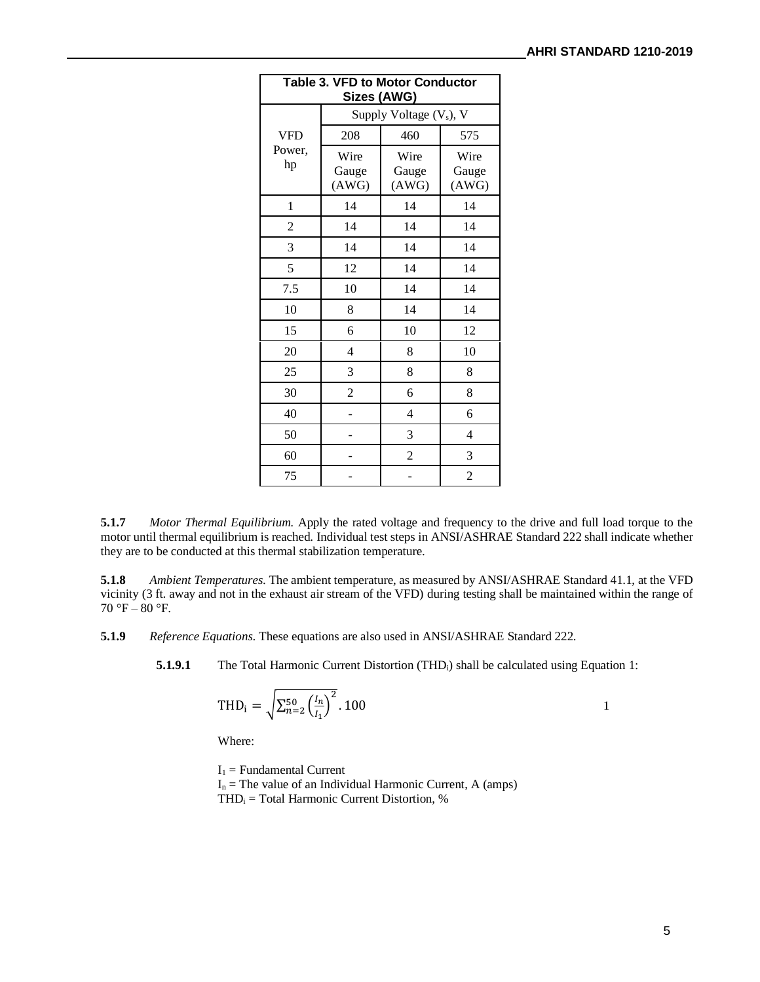| <b>Table 3. VFD to Motor Conductor</b><br>Sizes (AWG) |                                     |                        |                        |
|-------------------------------------------------------|-------------------------------------|------------------------|------------------------|
|                                                       | Supply Voltage (V <sub>s</sub> ), V |                        |                        |
| <b>VFD</b>                                            | 208                                 | 460                    | 575                    |
| Power,<br>hp                                          | Wire<br>Gauge<br>(AWG)              | Wire<br>Gauge<br>(AWG) | Wire<br>Gauge<br>(AWG) |
| 1                                                     | 14                                  | 14                     | 14                     |
| $\overline{2}$                                        | 14                                  | 14                     | 14                     |
| 3                                                     | 14                                  | 14                     | 14                     |
| 5                                                     | 12                                  | 14                     | 14                     |
| 7.5                                                   | 10                                  | 14                     | 14                     |
| 10                                                    | 8                                   | 14                     | 14                     |
| 15                                                    | 6                                   | 10                     | 12                     |
| 20                                                    | 4                                   | 8                      | 10                     |
| 25                                                    | 3                                   | 8                      | 8                      |
| 30                                                    | 2                                   | 6                      | 8                      |
| 40                                                    |                                     | 4                      | 6                      |
| 50                                                    |                                     | 3                      | 4                      |
| 60                                                    |                                     | $\overline{2}$         | 3                      |
| 75                                                    |                                     |                        | $\overline{2}$         |

**5.1.7** *Motor Thermal Equilibrium.* Apply the rated voltage and frequency to the drive and full load torque to the motor until thermal equilibrium is reached. Individual test steps in ANSI/ASHRAE Standard 222 shall indicate whether they are to be conducted at this thermal stabilization temperature.

**5.1.8** *Ambient Temperatures*. The ambient temperature, as measured by ANSI/ASHRAE Standard 41.1, at the VFD vicinity (3 ft. away and not in the exhaust air stream of the VFD) during testing shall be maintained within the range of  $70 °F - 80 °F$ .

**5.1.9** *Reference Equations*. These equations are also used in ANSI/ASHRAE Standard 222.

**5.1.9.1** The Total Harmonic Current Distortion (THD<sub>i</sub>) shall be calculated using Equation 1:

$$
THD_i = \sqrt{\sum_{n=2}^{50} \left(\frac{l_n}{l_1}\right)^2} .100
$$

Where:

 $I_1$  = Fundamental Current  $I_n$  = The value of an Individual Harmonic Current, A (amps)  $THD<sub>i</sub> = Total Harmonic Current Distortion, %$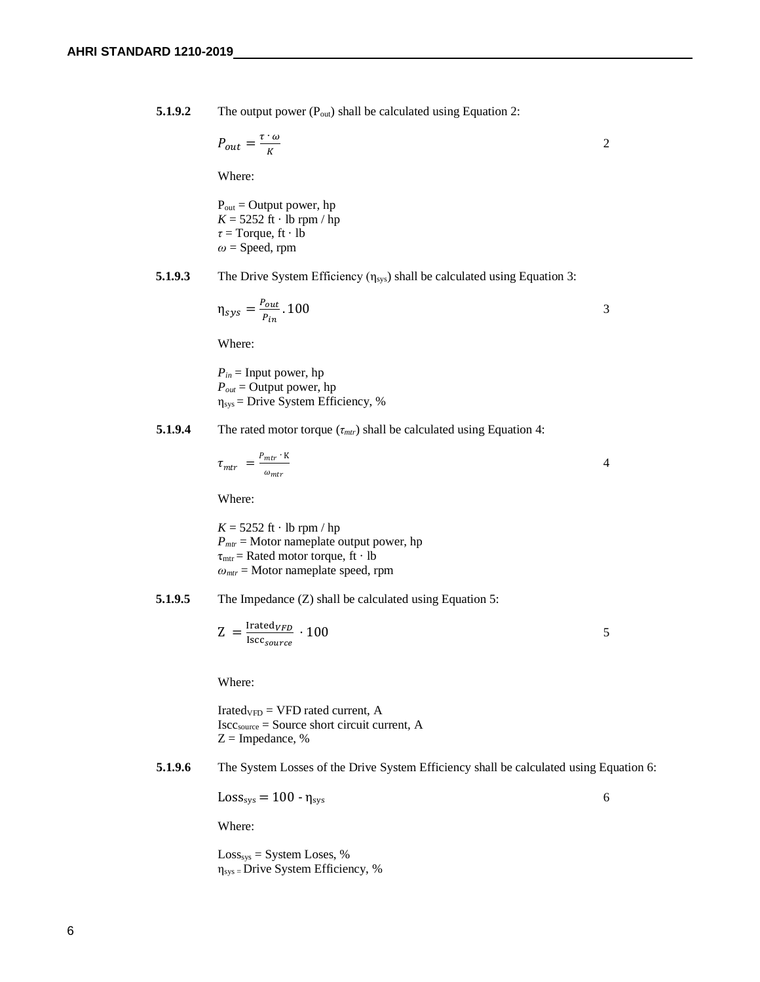**5.1.9.2** The output power (P<sub>out</sub>) shall be calculated using Equation 2:

$$
P_{out} = \frac{\tau \cdot \omega}{K} \tag{2}
$$

Where:

 $P_{out} =$  Output power, hp  $K = 5252$  ft · lb rpm / hp *τ* = Torque, ft · lb  $\omega$  = Speed, rpm

**5.1.9.3** The Drive System Efficiency (η<sub>sys</sub>) shall be calculated using Equation 3:

$$
\eta_{sys} = \frac{P_{out}}{P_{in}}.100
$$

Where:

 $P_{in}$  = Input power, hp *Pout* = Output power, hp  $\eta_{sys}$  = Drive System Efficiency, %

**5.1.9.4** The rated motor torque  $(\tau_{\text{mtr}})$  shall be calculated using Equation 4:

$$
\tau_{mtr} = \frac{P_{mtr} \cdot \mathbf{K}}{\omega_{mtr}} \tag{4}
$$

Where:

 $K = 5252$  ft · lb rpm / hp  $P<sub>mtr</sub>$  = Motor nameplate output power, hp  $\tau_{\text{mtr}}$  = Rated motor torque, ft  $\cdot$  lb *ωmtr* = Motor nameplate speed, rpm

**5.1.9.5** The Impedance (Z) shall be calculated using Equation 5:

$$
Z = \frac{\text{Irated}_{VFD}}{\text{Iscc}_{source}} \cdot 100
$$

Where:

 $Irated<sub>VFD</sub> = VFD$  rated current, A Isccsource = Source short circuit current, A  $Z =$  Impedance, %

**5.1.9.6** The System Losses of the Drive System Efficiency shall be calculated using Equation 6:

 $Loss_{sys} = 100 - \eta_{sys}$  6

Where:

 $Loss_{sys} = System Loss, %$ ηsys = Drive System Efficiency, %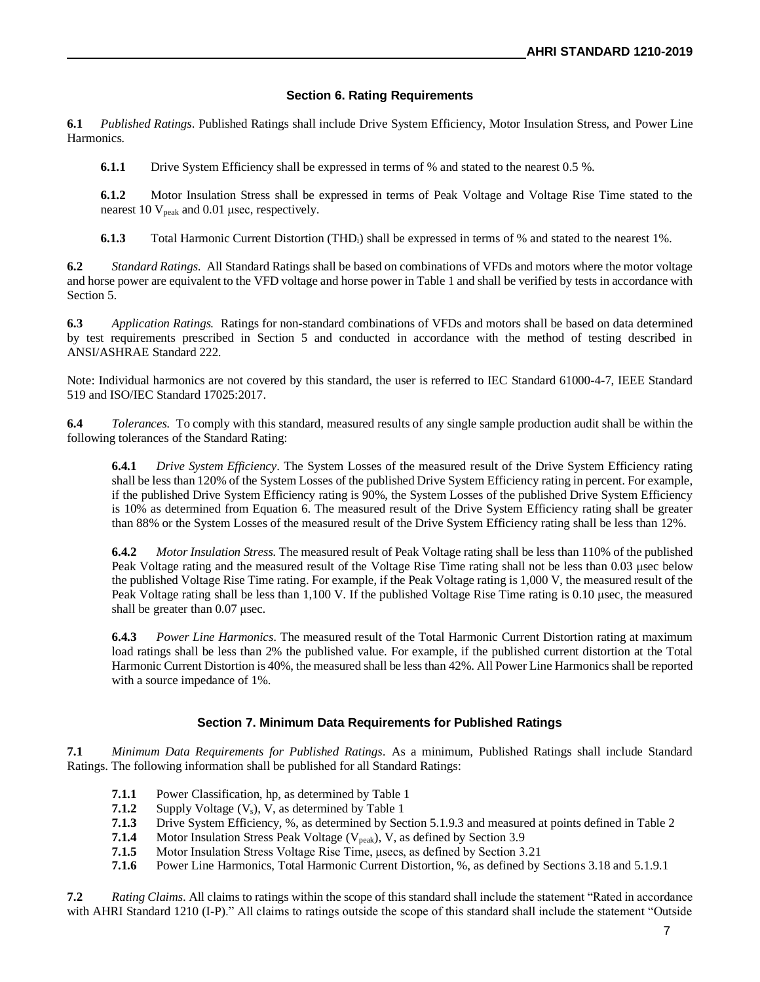#### **Section 6. Rating Requirements**

**6.1** *Published Ratings*. Published Ratings shall include Drive System Efficiency, Motor Insulation Stress, and Power Line Harmonics.

**6.1.1** Drive System Efficiency shall be expressed in terms of % and stated to the nearest 0.5 %.

**6.1.2** Motor Insulation Stress shall be expressed in terms of Peak Voltage and Voltage Rise Time stated to the nearest 10  $V_{peak}$  and 0.01 µsec, respectively.

**6.1.3** Total Harmonic Current Distortion (THD<sub>i</sub>) shall be expressed in terms of % and stated to the nearest 1%.

**6.2** *Standard Ratings.* All Standard Ratings shall be based on combinations of VFDs and motors where the motor voltage and horse power are equivalent to the VFD voltage and horse power in Table 1 and shall be verified by tests in accordance with Section 5.

**6.3** *Application Ratings.* Ratings for non-standard combinations of VFDs and motors shall be based on data determined by test requirements prescribed in Section 5 and conducted in accordance with the method of testing described in ANSI/ASHRAE Standard 222.

Note: Individual harmonics are not covered by this standard, the user is referred to IEC Standard 61000-4-7, IEEE Standard 519 and ISO/IEC Standard 17025:2017.

**6.4** *Tolerances.* To comply with this standard, measured results of any single sample production audit shall be within the following tolerances of the Standard Rating:

**6.4.1** *Drive System Efficiency*. The System Losses of the measured result of the Drive System Efficiency rating shall be less than 120% of the System Losses of the published Drive System Efficiency rating in percent. For example, if the published Drive System Efficiency rating is 90%, the System Losses of the published Drive System Efficiency is 10% as determined from Equation 6. The measured result of the Drive System Efficiency rating shall be greater than 88% or the System Losses of the measured result of the Drive System Efficiency rating shall be less than 12%.

**6.4.2** *Motor Insulation Stress.* The measured result of Peak Voltage rating shall be less than 110% of the published Peak Voltage rating and the measured result of the Voltage Rise Time rating shall not be less than 0.03 μsec below the published Voltage Rise Time rating. For example, if the Peak Voltage rating is 1,000 V, the measured result of the Peak Voltage rating shall be less than 1,100 V. If the published Voltage Rise Time rating is 0.10 μsec, the measured shall be greater than 0.07 μsec.

**6.4.3** *Power Line Harmonics*. The measured result of the Total Harmonic Current Distortion rating at maximum load ratings shall be less than 2% the published value. For example, if the published current distortion at the Total Harmonic Current Distortion is 40%, the measured shall be less than 42%. All Power Line Harmonics shall be reported with a source impedance of 1%.

#### **Section 7. Minimum Data Requirements for Published Ratings**

**7.1** *Minimum Data Requirements for Published Ratings.* As a minimum, Published Ratings shall include Standard Ratings. The following information shall be published for all Standard Ratings:

- **7.1.1** Power Classification, hp, as determined by Table 1
- **7.1.2** Supply Voltage  $(V_s)$ , V, as determined by Table 1
- **7.1.3** Drive System Efficiency, %, as determined by Section 5.1.9.3 and measured at points defined in Table 2
- **7.1.4** Motor Insulation Stress Peak Voltage (V<sub>peak</sub>), V, as defined by Section 3.9
- **7.1.5** Motor Insulation Stress Voltage Rise Time, μsecs, as defined by Section 3.21
- **7.1.6** Power Line Harmonics, Total Harmonic Current Distortion, %, as defined by Sections 3.18 and 5.1.9.1

**7.2** *Rating Claims*. All claims to ratings within the scope of this standard shall include the statement "Rated in accordance with AHRI Standard 1210 (I-P)." All claims to ratings outside the scope of this standard shall include the statement "Outside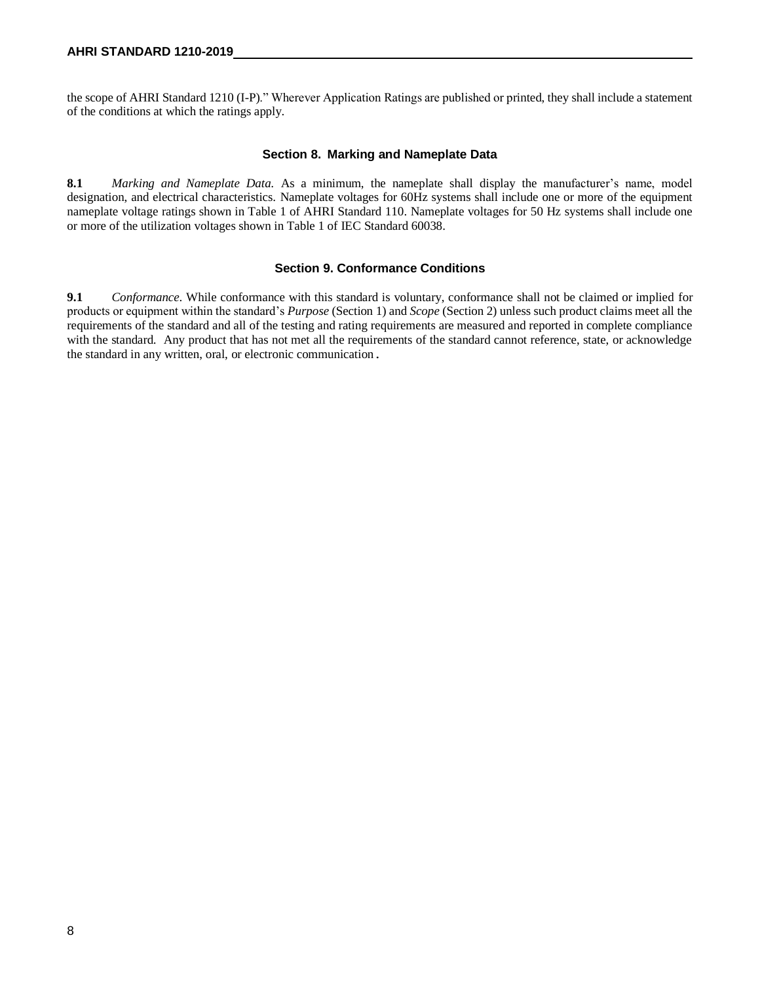the scope of AHRI Standard 1210 (I-P)." Wherever Application Ratings are published or printed, they shall include a statement of the conditions at which the ratings apply.

#### **Section 8. Marking and Nameplate Data**

**8.1** *Marking and Nameplate Data.* As a minimum, the nameplate shall display the manufacturer's name, model designation, and electrical characteristics. Nameplate voltages for 60Hz systems shall include one or more of the equipment nameplate voltage ratings shown in Table 1 of AHRI Standard 110. Nameplate voltages for 50 Hz systems shall include one or more of the utilization voltages shown in Table 1 of IEC Standard 60038.

#### **Section 9. Conformance Conditions**

**9.1** *Conformance*. While conformance with this standard is voluntary, conformance shall not be claimed or implied for products or equipment within the standard's *Purpose* (Section 1) and *Scope* (Section 2) unless such product claims meet all the requirements of the standard and all of the testing and rating requirements are measured and reported in complete compliance with the standard. Any product that has not met all the requirements of the standard cannot reference, state, or acknowledge the standard in any written, oral, or electronic communication.